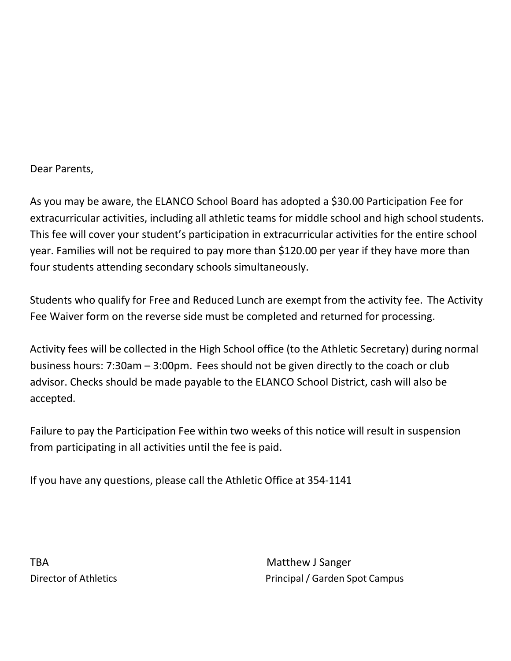Dear Parents,

As you may be aware, the ELANCO School Board has adopted a \$30.00 Participation Fee for extracurricular activities, including all athletic teams for middle school and high school students. This fee will cover your student's participation in extracurricular activities for the entire school year. Families will not be required to pay more than \$120.00 per year if they have more than four students attending secondary schools simultaneously.

Students who qualify for Free and Reduced Lunch are exempt from the activity fee. The Activity Fee Waiver form on the reverse side must be completed and returned for processing.

Activity fees will be collected in the High School office (to the Athletic Secretary) during normal business hours: 7:30am – 3:00pm. Fees should not be given directly to the coach or club advisor. Checks should be made payable to the ELANCO School District, cash will also be accepted.

Failure to pay the Participation Fee within two weeks of this notice will result in suspension from participating in all activities until the fee is paid.

If you have any questions, please call the Athletic Office at 354-1141

TBA Matthew J Sanger

Director of Athletics **Principal / Garden Spot Campus**